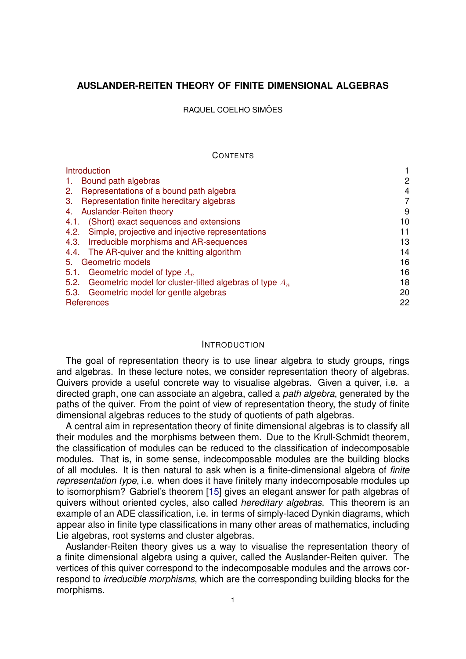## <span id="page-0-1"></span>**AUSLANDER-REITEN THEORY OF FINITE DIMENSIONAL ALGEBRAS**

RAQUEL COELHO SIMÕES

#### **CONTENTS**

| Introduction                                                      |    |
|-------------------------------------------------------------------|----|
| Bound path algebras<br>-1.                                        | 2  |
| Representations of a bound path algebra<br>2.                     | 4  |
| Representation finite hereditary algebras<br>3.                   | 7  |
| Auslander-Reiten theory<br>4.                                     | 9  |
| (Short) exact sequences and extensions<br>4.1.                    | 10 |
| Simple, projective and injective representations<br>4.2.          | 11 |
| Irreducible morphisms and AR-sequences<br>4.3.                    | 13 |
| 4.4. The AR-quiver and the knitting algorithm                     | 14 |
| Geometric models<br>5.                                            | 16 |
| 5.1.<br>Geometric model of type $A_n$                             | 16 |
| Geometric model for cluster-tilted algebras of type $A_n$<br>5.2. | 18 |
| 5.3. Geometric model for gentle algebras                          | 20 |
| References                                                        | 22 |
|                                                                   |    |

#### <span id="page-0-0"></span>INTRODUCTION

The goal of representation theory is to use linear algebra to study groups, rings and algebras. In these lecture notes, we consider representation theory of algebras. Quivers provide a useful concrete way to visualise algebras. Given a quiver, i.e. a directed graph, one can associate an algebra, called a *path algebra*, generated by the paths of the quiver. From the point of view of representation theory, the study of finite dimensional algebras reduces to the study of quotients of path algebras.

A central aim in representation theory of finite dimensional algebras is to classify all their modules and the morphisms between them. Due to the Krull-Schmidt theorem, the classification of modules can be reduced to the classification of indecomposable modules. That is, in some sense, indecomposable modules are the building blocks of all modules. It is then natural to ask when is a finite-dimensional algebra of *finite representation type*, i.e. when does it have finitely many indecomposable modules up to isomorphism? Gabriel's theorem [\[15\]](#page-22-0) gives an elegant answer for path algebras of quivers without oriented cycles, also called *hereditary algebras*. This theorem is an example of an ADE classification, i.e. in terms of simply-laced Dynkin diagrams, which appear also in finite type classifications in many other areas of mathematics, including Lie algebras, root systems and cluster algebras.

Auslander-Reiten theory gives us a way to visualise the representation theory of a finite dimensional algebra using a quiver, called the Auslander-Reiten quiver. The vertices of this quiver correspond to the indecomposable modules and the arrows correspond to *irreducible morphisms*, which are the corresponding building blocks for the morphisms.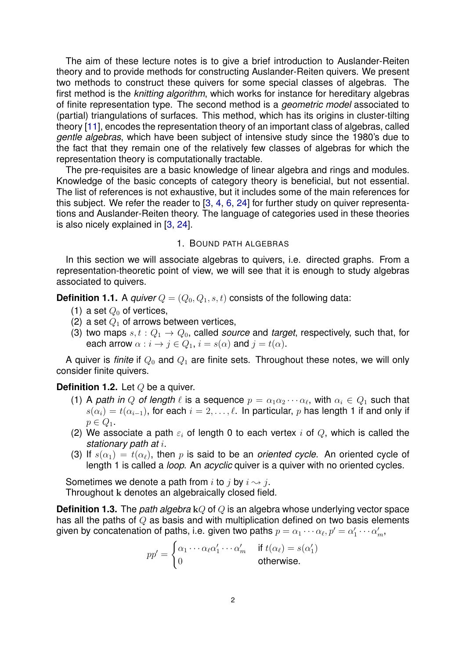The aim of these lecture notes is to give a brief introduction to Auslander-Reiten theory and to provide methods for constructing Auslander-Reiten quivers. We present two methods to construct these quivers for some special classes of algebras. The first method is the *knitting algorithm*, which works for instance for hereditary algebras of finite representation type. The second method is a *geometric model* associated to (partial) triangulations of surfaces. This method, which has its origins in cluster-tilting theory [\[11\]](#page-22-1), encodes the representation theory of an important class of algebras, called *gentle algebras*, which have been subject of intensive study since the 1980's due to the fact that they remain one of the relatively few classes of algebras for which the representation theory is computationally tractable.

The pre-requisites are a basic knowledge of linear algebra and rings and modules. Knowledge of the basic concepts of category theory is beneficial, but not essential. The list of references is not exhaustive, but it includes some of the main references for this subject. We refer the reader to [\[3,](#page-21-1) [4,](#page-21-2) [6,](#page-21-3) [24\]](#page-22-2) for further study on quiver representations and Auslander-Reiten theory. The language of categories used in these theories is also nicely explained in [\[3,](#page-21-1) [24\]](#page-22-2).

### 1. BOUND PATH ALGEBRAS

<span id="page-1-0"></span>In this section we will associate algebras to quivers, i.e. directed graphs. From a representation-theoretic point of view, we will see that it is enough to study algebras associated to quivers.

**Definition 1.1.** A *quiver*  $Q = (Q_0, Q_1, s, t)$  consists of the following data:

- (1) a set  $Q_0$  of vertices,
- (2) a set  $Q_1$  of arrows between vertices,
- (3) two maps  $s, t : Q_1 \rightarrow Q_0$ , called *source* and *target*, respectively, such that, for each arrow  $\alpha : i \to j \in Q_1$ ,  $i = s(\alpha)$  and  $j = t(\alpha)$ .

A quiver is *finite* if  $Q_0$  and  $Q_1$  are finite sets. Throughout these notes, we will only consider finite quivers.

## **Definition 1.2.** Let Q be a quiver.

- (1) A *path in Q of length*  $\ell$  is a sequence  $p = \alpha_1 \alpha_2 \cdots \alpha_\ell$ , with  $\alpha_i \in Q_1$  such that  $s(\alpha_i) = t(\alpha_{i-1})$ , for each  $i = 2, \ldots, \ell$ . In particular, p has length 1 if and only if  $p \in Q_1$ .
- (2) We associate a path  $\varepsilon_i$  of length 0 to each vertex i of Q, which is called the *stationary path at* i.
- (3) If  $s(\alpha_1) = t(\alpha_\ell)$ , then p is said to be an *oriented cycle*. An oriented cycle of length 1 is called a *loop*. An *acyclic* quiver is a quiver with no oriented cycles.

Sometimes we denote a path from i to j by  $i \rightsquigarrow j$ . Throughout k denotes an algebraically closed field.

**Definition 1.3.** The *path algebra* kQ of Q is an algebra whose underlying vector space has all the paths of Q as basis and with multiplication defined on two basis elements given by concatenation of paths, i.e. given two paths  $p=\alpha_1\cdots\alpha_\ell, p'=\alpha'_1\cdots\alpha'_m,$ 

$$
pp' = \begin{cases} \alpha_1 \cdots \alpha_\ell \alpha'_1 \cdots \alpha'_m & \text{if } t(\alpha_\ell) = s(\alpha'_1) \\ 0 & \text{otherwise.} \end{cases}
$$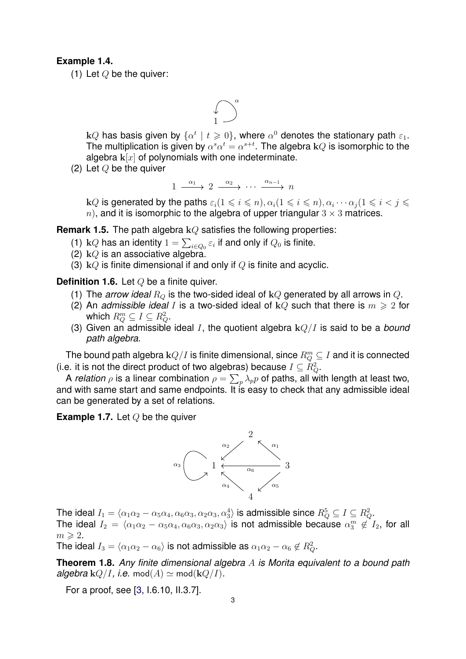### **Example 1.4.**

(1) Let  $Q$  be the quiver:



k $Q$  has basis given by  $\{\alpha^t\mid t\geqslant 0\}$ , where  $\alpha^0$  denotes the stationary path  $\varepsilon_1.$ The multiplication is given by  $\alpha^s\alpha^t=\alpha^{s+t}.$  The algebra k $Q$  is isomorphic to the algebra  $k[x]$  of polynomials with one indeterminate.

 $(2)$  Let  $Q$  be the quiver

$$
1 \xrightarrow{\alpha_1} 2 \xrightarrow{\alpha_2} \cdots \xrightarrow{\alpha_{n-1}} n
$$

k $Q$  is generated by the paths  $\varepsilon_i (1\leqslant i\leqslant n), \alpha_i (1\leqslant i\leqslant n), \alpha_i \cdots \alpha_j (1\leqslant i < j\leqslant n)$ n), and it is isomorphic to the algebra of upper triangular  $3 \times 3$  matrices.

**Remark 1.5.** The path algebra kQ satisfies the following properties:

- (1) k $Q$  has an identity  $1=\sum_{i\in Q_0}\varepsilon_i$  if and only if  $Q_0$  is finite.
- (2)  $kQ$  is an associative algebra.
- (3)  $kQ$  is finite dimensional if and only if Q is finite and acyclic.

**Definition 1.6.** Let Q be a finite quiver.

- (1) The *arrow ideal*  $R_Q$  is the two-sided ideal of  $kQ$  generated by all arrows in  $Q$ .
- (2) An *admissible ideal* I is a two-sided ideal of  $kQ$  such that there is  $m \geq 2$  for which  $R_Q^m \subseteq I \subseteq R_Q^2$ .
- (3) Given an admissible ideal I, the quotient algebra kQ/I is said to be a *bound path algebra*.

The bound path algebra  $\mathbf{k} Q/I$  is finite dimensional, since  $R^m_Q \subseteq I$  and it is connected (i.e. it is not the direct product of two algebras) because  $I \subseteq R_Q^2$ .

A *relation*  $\rho$  is a linear combination  $\rho = \sum_p \lambda_p p$  of paths, all with length at least two, and with same start and same endpoints. It is easy to check that any admissible ideal can be generated by a set of relations.

**Example 1.7.** Let Q be the quiver



The ideal  $I_1=\langle \alpha_1\alpha_2-\alpha_5\alpha_4,\alpha_6\alpha_3,\alpha_2\alpha_3,\alpha_3^4\rangle$  is admissible since  $R_Q^5\subseteq I\subseteq R_Q^2.$ The ideal  $I_2= \langle \alpha_1\alpha_2-\alpha_5\alpha_4,\alpha_6\alpha_3,\alpha_2\alpha_3\rangle$  is not admissible because  $\alpha_3^m\not\in I_2,$  for all  $m \geqslant 2$ .

The ideal  $I_3 = \langle \alpha_1\alpha_2 - \alpha_6 \rangle$  is not admissible as  $\alpha_1\alpha_2 - \alpha_6 \not\in R_Q^2.$ 

**Theorem 1.8.** *Any finite dimensional algebra* A *is Morita equivalent to a bound path algebra*  $kQ/I$ *, i.e.* mod $(A) \simeq \text{mod}(kQ/I)$ *.* 

For a proof, see [\[3,](#page-21-1) I.6.10, II.3.7].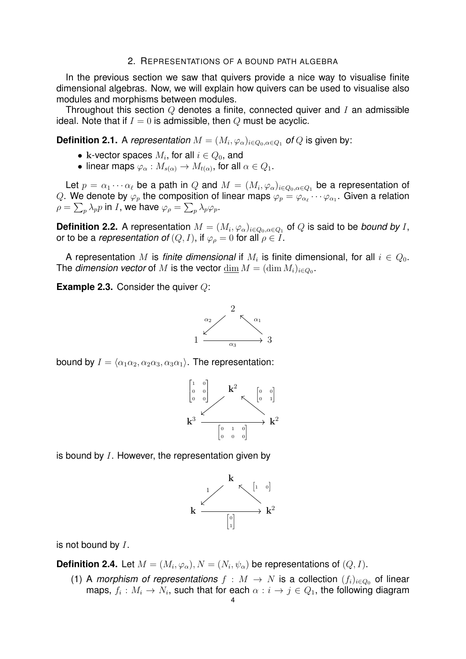#### 2. REPRESENTATIONS OF A BOUND PATH ALGEBRA

<span id="page-3-0"></span>In the previous section we saw that quivers provide a nice way to visualise finite dimensional algebras. Now, we will explain how quivers can be used to visualise also modules and morphisms between modules.

Throughout this section  $Q$  denotes a finite, connected quiver and  $I$  an admissible ideal. Note that if  $I = 0$  is admissible, then Q must be acyclic.

**Definition 2.1.** A *representation*  $M = (M_i, \varphi_\alpha)_{i \in Q_0, \alpha \in Q_1}$  *of*  $Q$  *is given by:* 

- k-vector spaces  $M_i,$  for all  $i\in Q_0,$  and
- $\bullet \,$  linear maps  $\varphi_\alpha: M_{s(\alpha)} \to M_{t(\alpha)},$  for all  $\alpha \in Q_1.$

Let  $p=\alpha_1\cdots\alpha_\ell$  be a path in  $Q$  and  $M=(M_i,\varphi_\alpha)_{i\in Q_0,\alpha\in Q_1}$  be a representation of  $Q.$  We denote by  $\varphi_p$  the composition of linear maps  $\varphi_p = \varphi_{\alpha_\ell} \cdots \varphi_{\alpha_1}.$  Given a relation  $\rho=\sum_p \lambda_p p$  in  $I$ , we have  $\varphi_\rho=\sum_p \lambda_p \varphi_p.$ 

**Definition 2.2.** A representation  $M = (M_i, \varphi_\alpha)_{i \in Q_0, \alpha \in Q_1}$  of  $Q$  is said to be *bound by I*, or to be a *representation of*  $(Q, I)$ , if  $\varphi_{\rho} = 0$  for all  $\rho \in I$ .

A representation  $M$  is *finite dimensional* if  $M_i$  is finite dimensional, for all  $i \in Q_0$ . The *dimension vector* of  $M$  is the vector  $\underline{\dim} \, M = (\dim M_i)_{i \in Q_0}.$ 

**Example 2.3.** Consider the quiver Q:



bound by  $I = \langle \alpha_1 \alpha_2, \alpha_2 \alpha_3, \alpha_3 \alpha_1 \rangle$ . The representation:



is bound by  $I$ . However, the representation given by



is not bound by  $I$ .

**Definition 2.4.** Let  $M = (M_i, \varphi_\alpha), N = (N_i, \psi_\alpha)$  be representations of  $(Q, I)$ .

(1) A *morphism of representations*  $f : M \to N$  is a collection  $(f_i)_{i \in Q_0}$  of linear maps,  $f_i: M_i \to N_i$ , such that for each  $\alpha: i \to j \in Q_1,$  the following diagram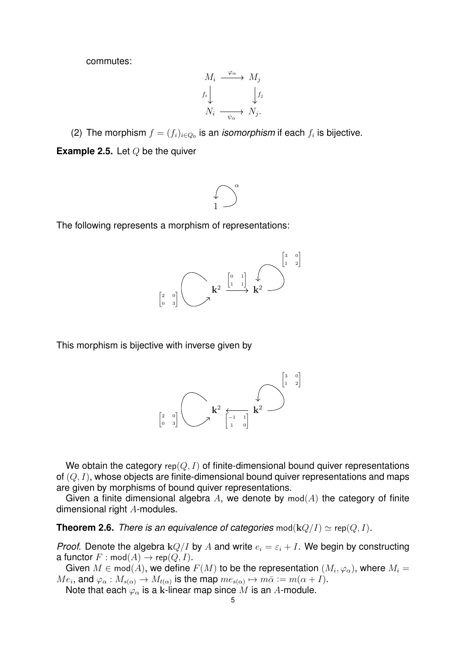commutes:

$$
M_i \xrightarrow{\varphi_{\alpha}} M_j
$$
  

$$
f_i \downarrow \qquad \qquad f_j
$$
  

$$
N_i \xrightarrow{\psi_{\alpha}} N_j.
$$

(2) The morphism  $f = (f_i)_{i \in Q_0}$  is an *isomorphism* if each  $f_i$  is bijective.

**Example 2.5.** Let Q be the quiver



The following represents a morphism of representations:



This morphism is bijective with inverse given by



We obtain the category  $rep(Q, I)$  of finite-dimensional bound quiver representations of  $(Q, I)$ , whose objects are finite-dimensional bound quiver representations and maps are given by morphisms of bound quiver representations.

Given a finite dimensional algebra A, we denote by  $mod(A)$  the category of finite dimensional right A-modules.

**Theorem 2.6.** *There is an equivalence of categories*  $\text{mod}(\mathbf{k}Q/I) \simeq \text{rep}(Q, I)$ *.* 

*Proof.* Denote the algebra  $kQ/I$  by A and write  $e_i = \varepsilon_i + I$ . We begin by constructing a functor  $F : \text{mod}(A) \rightarrow \text{rep}(Q, I)$ .

Given  $M\in \mathsf{mod}(A)$ , we define  $F(M)$  to be the representation  $(M_i,\varphi_{\alpha}),$  where  $M_i=$  $Me_i$ , and  $\varphi_\alpha: M_{s(\alpha)} \to M_{t(\alpha)}$  is the map  $me_{s(\alpha)} \mapsto m\bar{\alpha} := m(\alpha + I)$ .

Note that each  $\varphi_{\alpha}$  is a k-linear map since M is an A-module.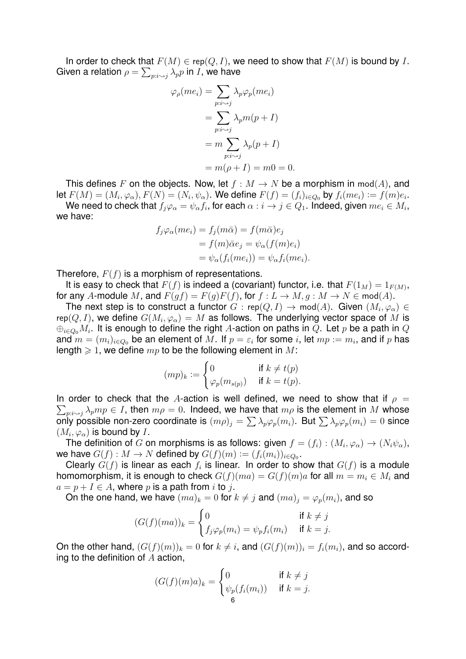In order to check that  $F(M) \in \text{rep}(Q, I)$ , we need to show that  $F(M)$  is bound by I. Given a relation  $\rho = \sum_{p: i \sim j} \lambda_p p$  in  $I$ , we have

$$
\varphi_{\rho}(me_i) = \sum_{p:i \sim j} \lambda_p \varphi_p(me_i)
$$
  
= 
$$
\sum_{p:i \sim j} \lambda_p m(p+I)
$$
  
= 
$$
m \sum_{p:i \sim j} \lambda_p(p+I)
$$
  
= 
$$
m(\rho+I) = m0 = 0.
$$

This defines F on the objects. Now, let  $f : M \to N$  be a morphism in  $mod(A)$ , and let  $F(M)=(M_i,\varphi_\alpha), F(N)=(N_i,\psi_\alpha).$  We define  $F(f)=(f_i)_{i\in Q_0}$  by  $f_i(me_i):=f(m)e_i.$ We need to check that  $f_j\varphi_\alpha=\psi_\alpha f_i,$  for each  $\alpha:i\to j\in Q_1.$  Indeed, given  $me_i\in M_i,$ 

we have:  $f(\theta) = \theta(\theta) = \theta(\theta)$ 

$$
f_j \varphi_\alpha(me_i) = f_j(m\bar{\alpha}) = f(m\bar{\alpha})e_j
$$
  
=  $f(m)\bar{\alpha}e_j = \psi_\alpha(f(m)e_i)$   
=  $\psi_\alpha(f_i(me_i)) = \psi_\alpha f_i(me_i).$ 

Therefore,  $F(f)$  is a morphism of representations.

It is easy to check that  $F(f)$  is indeed a (covariant) functor, i.e. that  $F(1_M) = 1_{F(M)}$ , for any A-module M, and  $F(gf) = F(g)F(f)$ , for  $f: L \to M$ ,  $g: M \to N \in \text{mod}(A)$ .

The next step is to construct a functor  $G$  : rep $(Q,I)\to \operatorname{\mathsf{mod}}(A).$  Given  $(M_i,\varphi_\alpha)\in$ rep $(Q,I)$ , we define  $G(M_i,\varphi_\alpha)=M$  as follows. The underlying vector space of  $M$  is  $\oplus_{i\in Q_0}M_i.$  It is enough to define the right  $A$ -action on paths in  $Q.$  Let  $p$  be a path in  $Q$ and  $m = (m_i)_{i \in Q_0}$  be an element of  $M.$  If  $p = \varepsilon_i$  for some  $i,$  let  $mp := m_i,$  and if  $p$  has length  $\geq 1$ , we define  $mp$  to be the following element in M:

$$
(mp)_k := \begin{cases} 0 & \text{if } k \neq t(p) \\ \varphi_p(m_{s(p)}) & \text{if } k = t(p). \end{cases}
$$

 $\sum_{p:i\sim j}\lambda_p mp\in I$ , then  $m\rho=0$ . Indeed, we have that  $m\rho$  is the element in  $M$  whose In order to check that the A-action is well defined, we need to show that if  $\rho =$ only possible non-zero coordinate is  $(m\rho)_j=\sum\lambda_p\varphi_p(m_i).$  But  $\sum\lambda_p\varphi_p(m_i)=0$  since  $(M_i,\varphi_\alpha)$  is bound by I.

The definition of  $G$  on morphisms is as follows: given  $f=(f_i):(M_i,\varphi_\alpha)\to (N_i\psi_\alpha),$ we have  $G(f):M\to N$  defined by  $G(f)(m):=(f_i(m_i))_{i\in Q_0}.$ 

Clearly  $G(f)$  is linear as each  $f_i$  is linear. In order to show that  $G(f)$  is a module homomorphism, it is enough to check  $G(f)(ma) = G(f)(m)a$  for all  $m = m<sub>i</sub> \in M<sub>i</sub>$  and  $a = p + I \in A$ , where p is a path from i to j.

On the one hand, we have  $(ma)_k = 0$  for  $k \neq j$  and  $(ma)_j = \varphi_p(m_i)$ , and so

$$
(G(f)(ma))_k = \begin{cases} 0 & \text{if } k \neq j \\ f_j \varphi_p(m_i) = \psi_p f_i(m_i) & \text{if } k = j. \end{cases}
$$

On the other hand,  $(G(f)(m))_k = 0$  for  $k \neq i$ , and  $(G(f)(m))_i = f_i(m_i)$ , and so according to the definition of  $A$  action,

$$
(G(f)(m)a)_k = \begin{cases} 0 & \text{if } k \neq j \\ \psi_p(f_i(m_i)) & \text{if } k = j. \end{cases}
$$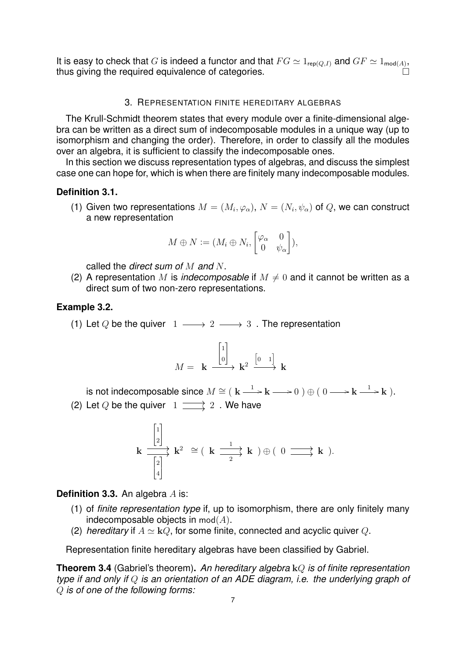It is easy to check that G is indeed a functor and that  $FG \simeq 1_{\mathsf{rep}(Q,I)}$  and  $GF \simeq 1_{\mathsf{mod}(A)}$ , thus giving the required equivalence of categories.

### 3. REPRESENTATION FINITE HEREDITARY ALGEBRAS

<span id="page-6-0"></span>The Krull-Schmidt theorem states that every module over a finite-dimensional algebra can be written as a direct sum of indecomposable modules in a unique way (up to isomorphism and changing the order). Therefore, in order to classify all the modules over an algebra, it is sufficient to classify the indecomposable ones.

In this section we discuss representation types of algebras, and discuss the simplest case one can hope for, which is when there are finitely many indecomposable modules.

## **Definition 3.1.**

(1) Given two representations  $M=(M_i,\varphi_\alpha),\,N=(N_i,\psi_\alpha)$  of  $Q,$  we can construct a new representation

$$
M \oplus N := (M_i \oplus N_i, \begin{bmatrix} \varphi_\alpha & 0 \\ 0 & \psi_\alpha \end{bmatrix}),
$$

called the *direct sum of* M *and* N.

(2) A representation M is *indecomposable* if  $M \neq 0$  and it cannot be written as a direct sum of two non-zero representations.

## **Example 3.2.**

(1) Let Q be the quiver  $1 \longrightarrow 2 \longrightarrow 3$ . The representation

$$
M = \mathbf{k} \xrightarrow{\begin{bmatrix} 1 \\ 0 \end{bmatrix}} \mathbf{k}^2 \xrightarrow{\begin{bmatrix} 0 & 1 \end{bmatrix}} \mathbf{k}
$$

is not indecomposable since  $M\cong (\begin{array}{c|c} \mathbf{k}\longrightarrow \mathbf{k}\longrightarrow 0\end{array})\oplus (\begin{array}{c} 0\longrightarrow \mathbf{k}\stackrel{1}{\longrightarrow}\mathbf{k}\end{array}).$ (2) Let Q be the quiver  $1 \longrightarrow 2$ . We have

$$
\mathbf{k} \xrightarrow{\begin{bmatrix} 1 \\ 2 \end{bmatrix}} \mathbf{k}^2 \cong (\mathbf{k} \xrightarrow{\begin{smallmatrix} 1 \\ 2 \end{smallmatrix}} \mathbf{k}) \oplus (\begin{smallmatrix} 0 \end{smallmatrix} \xrightarrow{\begin{smallmatrix} 1 \\ 2 \end{smallmatrix}} \mathbf{k}).
$$

**Definition 3.3.** An algebra A is:

- (1) of *finite representation type* if, up to isomorphism, there are only finitely many indecomposable objects in  $mod(A)$ .
- (2) *hereditary* if  $A \simeq kQ$ , for some finite, connected and acyclic quiver Q.

Representation finite hereditary algebras have been classified by Gabriel.

**Theorem 3.4** (Gabriel's theorem)**.** *An hereditary algebra* kQ *is of finite representation type if and only if* Q *is an orientation of an ADE diagram, i.e. the underlying graph of* Q *is of one of the following forms:*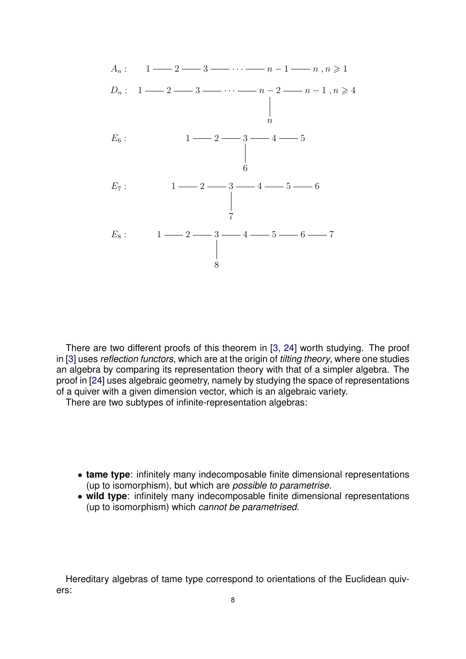

There are two different proofs of this theorem in [\[3,](#page-21-1) [24\]](#page-22-2) worth studying. The proof in [\[3\]](#page-21-1) uses *reflection functors*, which are at the origin of *tilting theory*, where one studies an algebra by comparing its representation theory with that of a simpler algebra. The proof in [\[24\]](#page-22-2) uses algebraic geometry, namely by studying the space of representations of a quiver with a given dimension vector, which is an algebraic variety.

There are two subtypes of infinite-representation algebras:

- **tame type**: infinitely many indecomposable finite dimensional representations (up to isomorphism), but which are *possible to parametrise*.
- **wild type**: infinitely many indecomposable finite dimensional representations (up to isomorphism) which *cannot be parametrised*.

Hereditary algebras of tame type correspond to orientations of the Euclidean quivers: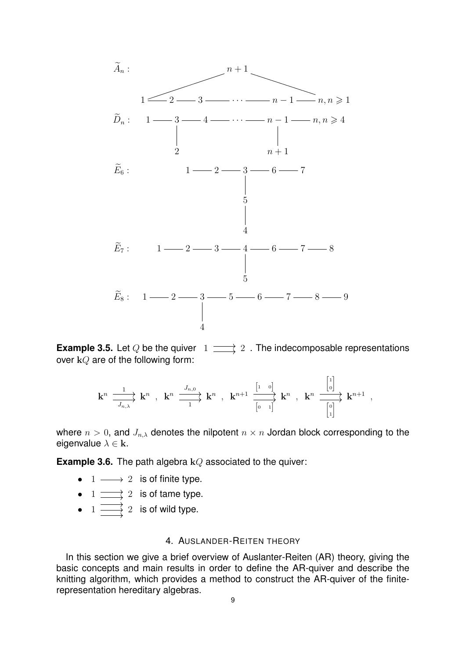



k <sup>n</sup> k n 1 Jn,λ , k <sup>n</sup> k n Jn,<sup>0</sup> 1 , k <sup>n</sup>+1 k n [1 0] [0 1] , k <sup>n</sup> k n+1 1 0 0 1 ,

where  $n > 0$ , and  $J_{n,\lambda}$  denotes the nilpotent  $n \times n$  Jordan block corresponding to the eigenvalue  $\lambda \in \mathbf{k}$ .

**Example 3.6.** The path algebra kQ associated to the quiver:

- $1 \longrightarrow 2$  is of finite type.
- $1 \longrightarrow 2$  is of tame type.
- $1 \longrightarrow 2$  is of wild type.

### 4. AUSLANDER-REITEN THEORY

<span id="page-8-0"></span>In this section we give a brief overview of Auslanter-Reiten (AR) theory, giving the basic concepts and main results in order to define the AR-quiver and describe the knitting algorithm, which provides a method to construct the AR-quiver of the finiterepresentation hereditary algebras.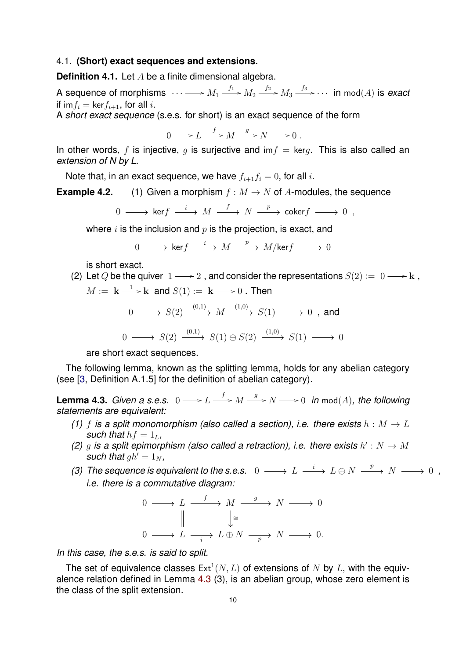### <span id="page-9-0"></span>4.1. **(Short) exact sequences and extensions.**

**Definition 4.1.** Let A be a finite dimensional algebra.

A sequence of morphisms  $\,\,\cdots\longrightarrow M_1\stackrel{f_1}{\longrightarrow}M_2\stackrel{f_2}{\longrightarrow}M_3\stackrel{f_3}{\longrightarrow}\cdots\,$  in  $\mathsf{mod}(A)$  is *exact* if im $f_i = \text{ker } f_{i+1}$ , for all i.

A *short exact sequence* (s.e.s. for short) is an exact sequence of the form

 $0 \longrightarrow L \stackrel{f}{\longrightarrow} M \stackrel{g}{\longrightarrow} N \longrightarrow 0$ .

In other words, f is injective, q is surjective and  $\text{im } f = \text{ker } q$ . This is also called an *extension of N by L*.

Note that, in an exact sequence, we have  $f_{i+1}f_i = 0$ , for all i.

**Example 4.2.** (1) Given a morphism  $f : M \to N$  of A-modules, the sequence

$$
0\,\longrightarrow\,\text{ker}f\,\stackrel{i}{\longrightarrow}\,M\,\stackrel{f}{\longrightarrow}\,N\,\stackrel{p}{\longrightarrow}\,\text{coker}f\,\longrightarrow\,0\ \, ,
$$

where  $i$  is the inclusion and  $p$  is the projection, is exact, and

 $0 \longrightarrow \mathsf{ker} f \stackrel{i}{\longrightarrow} M \stackrel{p}{\longrightarrow} M/\mathsf{ker} f \longrightarrow 0$ 

is short exact.

(2) Let Q be the quiver 
$$
1 \longrightarrow 2
$$
, and consider the representations  $S(2) := 0 \longrightarrow k$ ,

$$
M := \mathbf{k} \xrightarrow{1} \mathbf{k} \text{ and } S(1) := \mathbf{k} \longrightarrow 0 \text{ . Then}
$$

$$
0 \longrightarrow S(2) \xrightarrow{(0,1)} M \xrightarrow{(1,0)} S(1) \longrightarrow 0 , \text{ and}
$$

$$
0 \longrightarrow S(2) \xrightarrow{(0,1)} S(1) \oplus S(2) \xrightarrow{(1,0)} S(1) \longrightarrow 0
$$

are short exact sequences.

The following lemma, known as the splitting lemma, holds for any abelian category (see [\[3,](#page-21-1) Definition A.1.5] for the definition of abelian category).

<span id="page-9-1"></span>**Lemma 4.3.** *Given a s.e.s.*  $0 \longrightarrow L \stackrel{f}{\longrightarrow} M \stackrel{g}{\longrightarrow} N \longrightarrow 0$  in  $mod(A)$ , the following *statements are equivalent:*

- *(1)* f is a split monomorphism (also called a section), i.e. there exists  $h : M \to L$ *such that*  $hf = 1<sub>L</sub>$ *,*
- (2) g is a split epimorphism (also called a retraction), i.e. there exists  $h': N \to M$ *such that*  $gh' = 1_N$ *,*
- *(3)* The sequence is equivalent to the s.e.s.  $0 \longrightarrow L \stackrel{i}{\longrightarrow} L \oplus N \stackrel{p}{\longrightarrow} N \longrightarrow 0$ , *i.e. there is a commutative diagram:*

$$
\begin{array}{ccc}\n0 & \longrightarrow & L & \xrightarrow{f} & M & \xrightarrow{g} & N & \longrightarrow 0 \\
\parallel & & \downarrow^{\cong} & & \parallel & \\
0 & \longrightarrow & L & \xrightarrow{i} & L \oplus N & \xrightarrow{p} & N & \longrightarrow 0.\n\end{array}
$$

*In this case, the s.e.s. is said to split.*

The set of equivalence classes  $Ext^1(N, L)$  of extensions of N by L, with the equivalence relation defined in Lemma [4.3](#page-9-1) (3), is an abelian group, whose zero element is the class of the split extension.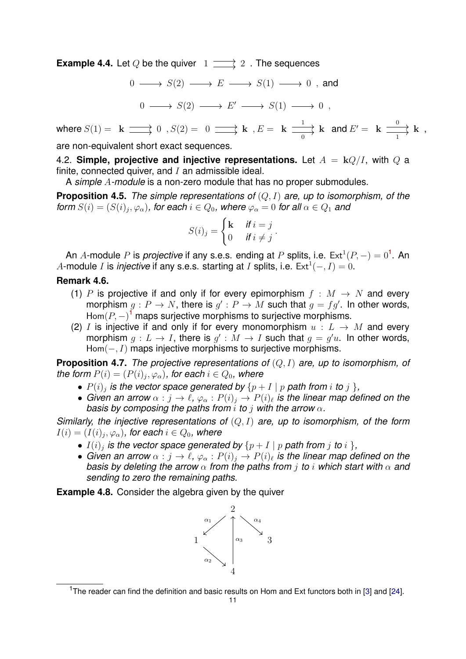**Example 4.4.** Let Q be the quiver  $1 \longrightarrow 2$ . The sequences

 $0 \longrightarrow S(2) \longrightarrow E \longrightarrow S(1) \longrightarrow 0$ , and

$$
0 \longrightarrow S(2) \longrightarrow E' \longrightarrow S(1) \longrightarrow 0 ,
$$

where  $S(1) = \;\;{\bf k} \;\Longrightarrow\; 0\;\; , S(2) = \;\; 0 \;\Longrightarrow\; {\bf k} \;\; , E = \;\; {\bf k} \;\Longrightarrow\; {\bf k}$ 0 and  $E' = \mathbf{k} \stackrel{0}{\longrightarrow} \mathbf{k}$ 1 ,

are non-equivalent short exact sequences.

<span id="page-10-0"></span>4.2. **Simple, projective and injective representations.** Let  $A = kQ/I$ , with Q a finite, connected quiver, and  $I$  an admissible ideal.

A *simple* A*-module* is a non-zero module that has no proper submodules.

<span id="page-10-1"></span>**Proposition 4.5.** *The simple representations of* (Q, I) *are, up to isomorphism, of the form*  $S(i) = (S(i)_j, \varphi_\alpha)$ , for each  $i \in Q_0$ , where  $\varphi_\alpha = 0$  for all  $\alpha \in Q_1$  and

$$
S(i)_j = \begin{cases} \mathbf{k} & \text{if } i = j \\ 0 & \text{if } i \neq j \end{cases}.
$$

An A-module P is *projective* if any s.e.s. ending at P splits, i.e.  $Ext^1(P, -) = 0^1$  $Ext^1(P, -) = 0^1$  $Ext^1(P, -) = 0^1$ . An A-module I is *injective* if any s.e.s. starting at I splits, i.e.  $Ext^1(-, I) = 0$ .

# **Remark 4.6.**

- (1) P is projective if and only if for every epimorphism  $f : M \rightarrow N$  and every morphism  $g: P \to N$ , there is  $g': P \to M$  such that  $g = fg'$ . In other words, Hom $(P, -)$ <sup>[1](#page-0-1)</sup> maps surjective morphisms to surjective morphisms.
- (2) I is injective if and only if for every monomorphism  $u : L \rightarrow M$  and every morphism  $g: L \to I$ , there is  $g' : M \to I$  such that  $g = g'u$ . In other words,  $Hom(-, I)$  maps injective morphisms to surjective morphisms.

**Proposition 4.7.** *The projective representations of* (Q, I) *are, up to isomorphism, of the form*  $P(i) = (P(i)_j, \varphi_\alpha)$ , for each  $i \in Q_0$ , where

- $P(i)_j$  is the vector space generated by  $\{p + I \mid p$  path from  $i$  to  $j$   $\},$
- Given an arrow  $\alpha : j \to \ell$ ,  $\varphi_\alpha : P(i)_j \to P(i)_\ell$  is the linear map defined on the *basis by composing the paths from* i *to* j *with the arrow* α*.*

*Similarly, the injective representations of* (Q, I) *are, up to isomorphism, of the form*  $I(i)=(I(i)_j,\varphi_\alpha)$ , for each  $i\in Q_0$ , where

- $\bullet$   $I(i)_j$  is the vector space generated by  $\{p + I \mid p$  path from  $j$  to  $i$   $\},$
- Given an arrow  $\alpha : j \to \ell$ ,  $\varphi_\alpha : P(i)_j \to P(i)_\ell$  is the linear map defined on the *basis by deleting the arrow* α *from the paths from* j *to* i *which start with* α *and sending to zero the remaining paths.*

**Example 4.8.** Consider the algebra given by the quiver



<sup>&</sup>lt;sup>1</sup>The reader can find the definition and basic results on Hom and Ext functors both in [\[3\]](#page-21-1) and [\[24\]](#page-22-2).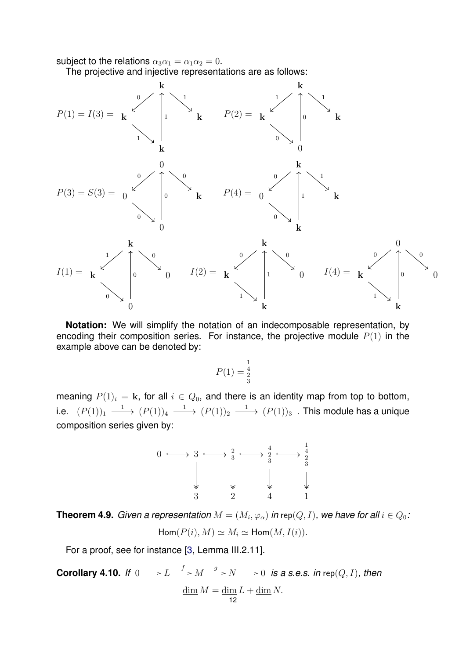subject to the relations  $\alpha_3\alpha_1 = \alpha_1\alpha_2 = 0$ .

The projective and injective representations are as follows:



**Notation:** We will simplify the notation of an indecomposable representation, by encoding their composition series. For instance, the projective module  $P(1)$  in the example above can be denoted by:

$$
P(1) = \frac{1}{2} \atop 3
$$

meaning  $P(1)_i = \mathbf{k}$ , for all  $i \in Q_0$ , and there is an identity map from top to bottom, i.e.  $(P(1))_1 \xrightarrow{1} (P(1))_4 \xrightarrow{1} (P(1))_2 \xrightarrow{1} (P(1))_3$  . This module has a unique composition series given by:



**Theorem 4.9.** Given a representation  $M = (M_i, \varphi_\alpha)$  in rep $(Q, I)$ , we have for all  $i \in Q_0.$  $Hom(P(i), M) \simeq M_i \simeq Hom(M, I(i)).$ 

For a proof, see for instance [\[3,](#page-21-1) Lemma III.2.11].

<span id="page-11-0"></span>**Corollary 4.10.** If  $0 \longrightarrow L \stackrel{f}{\longrightarrow} M \stackrel{g}{\longrightarrow} N \longrightarrow 0$  is a s.e.s. in rep(Q, I), then  $\dim M = \dim L + \dim N$ .

$$
\overline{12}
$$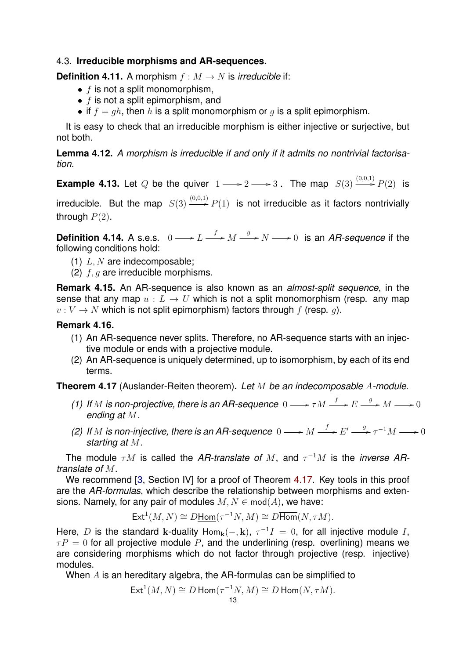# <span id="page-12-0"></span>4.3. **Irreducible morphisms and AR-sequences.**

**Definition 4.11.** A morphism  $f : M \rightarrow N$  is *irreducible* if:

- $\bullet$  f is not a split monomorphism,
- $\bullet$  f is not a split epimorphism, and
- if  $f = gh$ , then h is a split monomorphism or q is a split epimorphism.

It is easy to check that an irreducible morphism is either injective or surjective, but not both.

**Lemma 4.12.** *A morphism is irreducible if and only if it admits no nontrivial factorisation.*

**Example 4.13.** Let Q be the quiver  $1 \longrightarrow 2 \longrightarrow 3$ . The map  $S(3) \stackrel{(0,0,1)}{\longrightarrow} P(2)$  is irreducible. But the map  $S(3) \stackrel{(0,0,1)}{\longrightarrow} P(1)$  is not irreducible as it factors nontrivially through  $P(2)$ .

**Definition 4.14.** A s.e.s.  $0 \longrightarrow L \stackrel{f}{\longrightarrow} M \stackrel{g}{\longrightarrow} N \longrightarrow 0$  is an *AR-sequence* if the following conditions hold:

- (1)  $L, N$  are indecomposable;
- (2)  $f, g$  are irreducible morphisms.

**Remark 4.15.** An AR-sequence is also known as an *almost-split sequence*, in the sense that any map  $u : L \to U$  which is not a split monomorphism (resp. any map  $v: V \to N$  which is not split epimorphism) factors through f (resp. q).

# **Remark 4.16.**

- (1) An AR-sequence never splits. Therefore, no AR-sequence starts with an injective module or ends with a projective module.
- (2) An AR-sequence is uniquely determined, up to isomorphism, by each of its end terms.

<span id="page-12-1"></span>**Theorem 4.17** (Auslander-Reiten theorem)**.** *Let* M *be an indecomposable* A*-module.*

- *(1)* If M is non-projective, there is an AR-sequence  $0 \longrightarrow \tau M \stackrel{f}{\longrightarrow} E \stackrel{g}{\longrightarrow} M \longrightarrow 0$ *ending at* M*.*
- (2) If M is non-injective, there is an AR-sequence  $0 \longrightarrow M \stackrel{f}{\longrightarrow} E' \stackrel{g}{\longrightarrow} \tau^{-1}M \longrightarrow 0$ *starting at* M*.*

The module  $\tau M$  is called the *AR-translate of M*, and  $\tau^{-1}M$  is the *inverse ARtranslate of* M.

We recommend [\[3,](#page-21-1) Section IV] for a proof of Theorem [4.17.](#page-12-1) Key tools in this proof are the *AR-formulas*, which describe the relationship between morphisms and extensions. Namely, for any pair of modules  $M, N \in \text{mod}(A)$ , we have:

$$
\text{Ext}^1(M, N) \cong D\underline{\text{Hom}}(\tau^{-1}N, M) \cong D\overline{\text{Hom}}(N, \tau M).
$$

Here, D is the standard k-duality Hom<sub>k</sub> $(-,k)$ ,  $\tau^{-1}I = 0$ , for all injective module I,  $\tau P = 0$  for all projective module P, and the underlining (resp. overlining) means we are considering morphisms which do not factor through projective (resp. injective) modules.

When A is an hereditary algebra, the AR-formulas can be simplified to

$$
\operatorname{Ext}^1(M, N) \cong D \operatorname{Hom}(\tau^{-1}N, M) \cong D \operatorname{Hom}(N, \tau M).
$$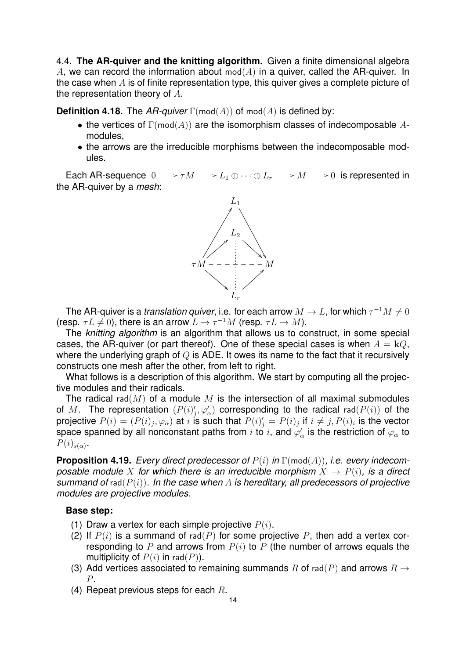<span id="page-13-0"></span>4.4. **The AR-quiver and the knitting algorithm.** Given a finite dimensional algebra A, we can record the information about mod( $A$ ) in a quiver, called the AR-quiver. In the case when  $\vec{A}$  is of finite representation type, this quiver gives a complete picture of the representation theory of  $A$ .

**Definition 4.18.** The  $AR$ -quiver  $\Gamma(\text{mod}(A))$  of  $\text{mod}(A)$  is defined by:

- the vertices of  $\Gamma(\text{mod}(A))$  are the isomorphism classes of indecomposable Amodules,
- the arrows are the irreducible morphisms between the indecomposable modules.

Each AR-sequence  $0 \longrightarrow \tau M \longrightarrow L_1 \oplus \cdots \oplus L_r \longrightarrow M \longrightarrow 0$  is represented in the AR-quiver by a *mesh*:



The AR-quiver is a *translation quiver*, i.e. for each arrow  $M \to L$ , for which  $\tau^{-1} M \neq 0$ (resp.  $\tau L \neq 0$ ), there is an arrow  $L \to \tau^{-1}M$  (resp.  $\tau L \to M$ ).

The *knitting algorithm* is an algorithm that allows us to construct, in some special cases, the AR-quiver (or part thereof). One of these special cases is when  $A = kQ$ , where the underlying graph of  $Q$  is ADE. It owes its name to the fact that it recursively constructs one mesh after the other, from left to right.

What follows is a description of this algorithm. We start by computing all the projective modules and their radicals.

The radical rad( $M$ ) of a module  $M$  is the intersection of all maximal submodules of M. The representation  $(P(i)'_j, \varphi'_\alpha)$  corresponding to the radical rad $(P(i))$  of the projective  $P(i)=(P(i)_j,\varphi_\alpha)$  at  $i$  is such that  $P(i)_j'=P(i)_j$  if  $i\neq j,$   $P(i)_i$  is the vector space spanned by all nonconstant paths from  $i$  to  $i$ , and  $\varphi_\alpha'$  is the restriction of  $\varphi_\alpha$  to  $P(i)_{s(\alpha)}$ .

**Proposition 4.19.** *Every direct predecessor of* P(i) *in* Γ(mod(A))*, i.e. every indecomposable module* X for which there is an irreducible morphism  $X \rightarrow P(i)$ , is a direct *summand of* rad(P(i))*. In the case when* A *is hereditary, all predecessors of projective modules are projective modules.*

#### **Base step:**

- (1) Draw a vertex for each simple projective  $P(i)$ .
- (2) If  $P(i)$  is a summand of rad(P) for some projective P, then add a vertex corresponding to P and arrows from  $P(i)$  to P (the number of arrows equals the multiplicity of  $P(i)$  in rad( $P$ )).
- (3) Add vertices associated to remaining summands R of rad(P) and arrows  $R \rightarrow$ P.
- (4) Repeat previous steps for each  $R$ .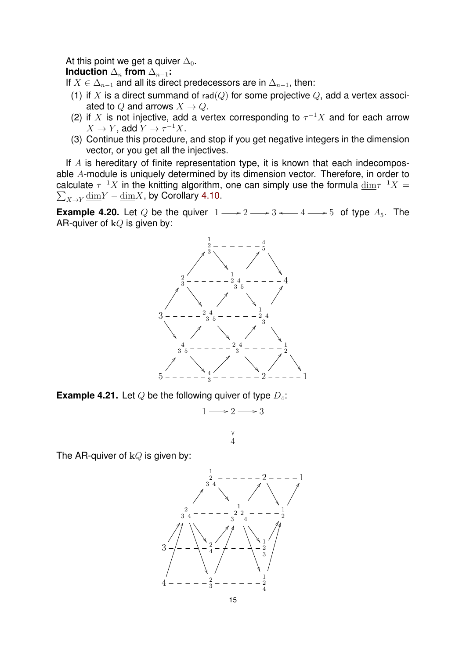At this point we get a quiver  $\Delta_0$ .

**Induction**  $\Delta_n$  **from**  $\Delta_{n-1}$ **:** 

If  $X \in \Delta_{n-1}$  and all its direct predecessors are in  $\Delta_{n-1}$ , then:

- (1) if X is a direct summand of rad( $Q$ ) for some projective  $Q$ , add a vertex associated to Q and arrows  $X \to Q$ .
- (2) if X is not injective, add a vertex corresponding to  $\tau^{-1}X$  and for each arrow  $X \to Y$ , add  $Y \to \tau^{-1} X$ .
- (3) Continue this procedure, and stop if you get negative integers in the dimension vector, or you get all the injectives.

If  $A$  is hereditary of finite representation type, it is known that each indecomposable A-module is uniquely determined by its dimension vector. Therefore, in order to calculate  $\tau^{-1}X$  in the knitting algorithm, one can simply use the formula  $\underline{\dim}\tau^{-1}X=$  $\sum_{X \rightarrow Y} \underline{\text{dim}} Y - \underline{\text{dim}} X$ , by Corollary [4.10.](#page-11-0)

**Example 4.20.** Let Q be the quiver  $1 \longrightarrow 2 \longrightarrow 3 \longleftarrow 4 \longrightarrow 5$  of type  $A_5$ . The AR-quiver of  $kQ$  is given by:



**Example 4.21.** Let  $Q$  be the following quiver of type  $D_4$ :



The AR-quiver of  $kQ$  is given by:

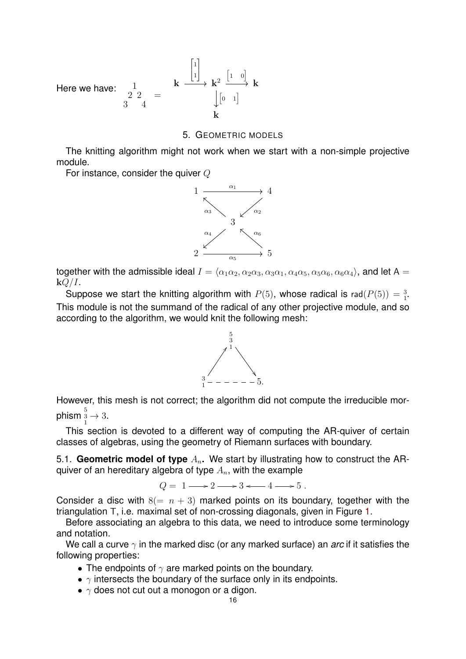Here we have: 
$$
\frac{1}{3} \begin{array}{ccc} 1 & \downarrow & \downarrow & \downarrow & \downarrow \\ 2 & 2 & = & \downarrow & \downarrow & \downarrow & \downarrow \\ 3 & 4 & & & \downarrow & \downarrow \end{array}
$$

### 5. GEOMETRIC MODELS

<span id="page-15-0"></span>The knitting algorithm might not work when we start with a non-simple projective module.

For instance, consider the quiver Q



together with the admissible ideal  $I = \langle \alpha_1 \alpha_2, \alpha_2 \alpha_3, \alpha_3 \alpha_1, \alpha_4 \alpha_5, \alpha_5 \alpha_6, \alpha_6 \alpha_4 \rangle$ , and let A =  $kQ/I$ .

Suppose we start the knitting algorithm with  $P(5)$ , whose radical is rad $(P(5)) = \frac{3}{1}$ . This module is not the summand of the radical of any other projective module, and so according to the algorithm, we would knit the following mesh:



However, this mesh is not correct; the algorithm did not compute the irreducible morphism  $\frac{5}{1} \rightarrow 3$ .

This section is devoted to a different way of computing the AR-quiver of certain classes of algebras, using the geometry of Riemann surfaces with boundary.

<span id="page-15-1"></span>5.1. **Geometric model of type**  $A_n$ . We start by illustrating how to construct the ARquiver of an hereditary algebra of type  $A_n$ , with the example

 $Q = 1 \longrightarrow 2 \longrightarrow 3 \longleftarrow 4 \longrightarrow 5$ .

Consider a disc with  $8(= n + 3)$  marked points on its boundary, together with the triangulation T, i.e. maximal set of non-crossing diagonals, given in Figure [1.](#page-16-0)

Before associating an algebra to this data, we need to introduce some terminology and notation.

We call a curve  $\gamma$  in the marked disc (or any marked surface) an *arc* if it satisfies the following properties:

- The endpoints of  $\gamma$  are marked points on the boundary.
- $\gamma$  intersects the boundary of the surface only in its endpoints.
- $\gamma$  does not cut out a monogon or a digon.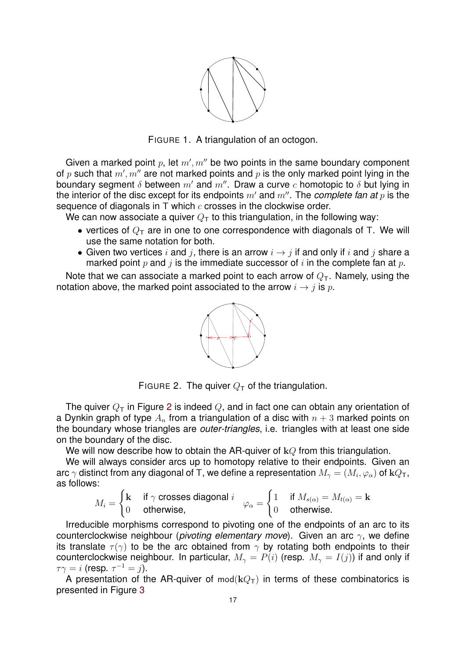

<span id="page-16-0"></span>FIGURE 1. A triangulation of an octogon.

Given a marked point  $p$ , let  $m', m''$  be two points in the same boundary component of  $p$  such that  $m', m''$  are not marked points and  $p$  is the only marked point lying in the boundary segment  $\delta$  between m' and m''. Draw a curve c homotopic to  $\delta$  but lying in the interior of the disc except for its endpoints  $m'$  and  $m''$ . The *complete fan at*  $p$  is the sequence of diagonals in  $T$  which  $c$  crosses in the clockwise order.

We can now associate a quiver  $Q_T$  to this triangulation, in the following way:

- vertices of  $Q_T$  are in one to one correspondence with diagonals of T. We will use the same notation for both.
- Given two vertices i and j, there is an arrow  $i \rightarrow j$  if and only if i and j share a marked point p and j is the immediate successor of i in the complete fan at p.

Note that we can associate a marked point to each arrow of  $Q_T$ . Namely, using the notation above, the marked point associated to the arrow  $i \rightarrow j$  is p.



<span id="page-16-1"></span>FIGURE 2. The quiver  $Q_T$  of the triangulation.

The quiver  $Q_T$  in Figure [2](#page-16-1) is indeed Q, and in fact one can obtain any orientation of a Dynkin graph of type  $A_n$  from a triangulation of a disc with  $n + 3$  marked points on the boundary whose triangles are *outer-triangles*, i.e. triangles with at least one side on the boundary of the disc.

We will now describe how to obtain the AR-quiver of  $kQ$  from this triangulation.

We will always consider arcs up to homotopy relative to their endpoints. Given an arc  $\gamma$  distinct from any diagonal of T, we define a representation  $M_\gamma = (M_i,\varphi_\alpha)$  of  $\mathbf{k} Q_\mathsf{T},$ as follows:

$$
M_i = \begin{cases} \mathbf{k} & \text{if } \gamma \text{ crosses diagonal } i \\ 0 & \text{otherwise,} \end{cases} \quad \varphi_{\alpha} = \begin{cases} 1 & \text{if } M_{s(\alpha)} = M_{t(\alpha)} = \mathbf{k} \\ 0 & \text{otherwise.} \end{cases}
$$

Irreducible morphisms correspond to pivoting one of the endpoints of an arc to its counterclockwise neighbour (*pivoting elementary move*). Given an arc γ, we define its translate  $\tau(\gamma)$  to be the arc obtained from  $\gamma$  by rotating both endpoints to their counterclockwise neighbour. In particular,  $M_{\gamma} = P(i)$  (resp.  $M_{\gamma} = I(j)$ ) if and only if  $\tau\gamma=i$  (resp.  $\tau^{-1}=j$ ).

A presentation of the AR-quiver of  $mod(kQ_T)$  in terms of these combinatorics is presented in Figure [3](#page-17-1)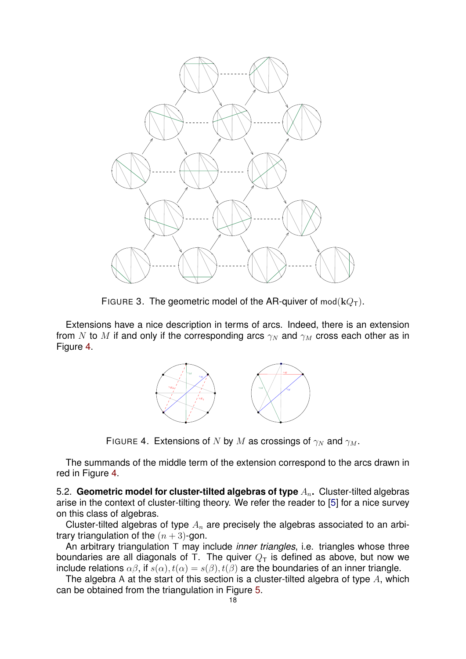

<span id="page-17-1"></span>FIGURE 3. The geometric model of the AR-quiver of  $mod(kQ_T)$ .

Extensions have a nice description in terms of arcs. Indeed, there is an extension from N to M if and only if the corresponding arcs  $\gamma_N$  and  $\gamma_M$  cross each other as in Figure [4.](#page-17-2)



<span id="page-17-2"></span>FIGURE 4. Extensions of N by M as crossings of  $\gamma_N$  and  $\gamma_M$ .

The summands of the middle term of the extension correspond to the arcs drawn in red in Figure [4.](#page-17-2)

<span id="page-17-0"></span>5.2. **Geometric model for cluster-tilted algebras of type**  $A_n$ . Cluster-tilted algebras arise in the context of cluster-tilting theory. We refer the reader to [\[5\]](#page-21-4) for a nice survey on this class of algebras.

Cluster-tilted algebras of type  $A_n$  are precisely the algebras associated to an arbitrary triangulation of the  $(n+3)$ -gon.

An arbitrary triangulation T may include *inner triangles*, i.e. triangles whose three boundaries are all diagonals of T. The quiver  $Q_T$  is defined as above, but now we include relations  $\alpha\beta$ , if  $s(\alpha)$ ,  $t(\alpha) = s(\beta)$ ,  $t(\beta)$  are the boundaries of an inner triangle.

The algebra A at the start of this section is a cluster-tilted algebra of type  $A$ , which can be obtained from the triangulation in Figure [5.](#page-18-0)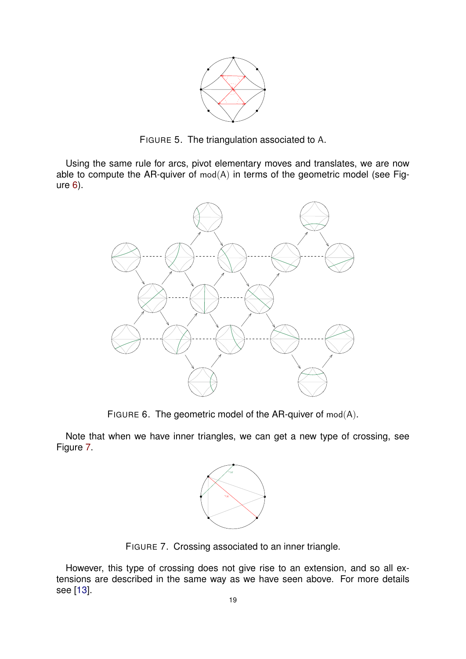

<span id="page-18-0"></span>FIGURE 5. The triangulation associated to A.

Using the same rule for arcs, pivot elementary moves and translates, we are now able to compute the AR-quiver of  $mod(A)$  in terms of the geometric model (see Figure [6\)](#page-18-1).



<span id="page-18-1"></span>FIGURE 6. The geometric model of the AR-quiver of mod(A).

Note that when we have inner triangles, we can get a new type of crossing, see Figure [7.](#page-18-2)



<span id="page-18-2"></span>FIGURE 7. Crossing associated to an inner triangle.

However, this type of crossing does not give rise to an extension, and so all extensions are described in the same way as we have seen above. For more details see [\[13\]](#page-22-3).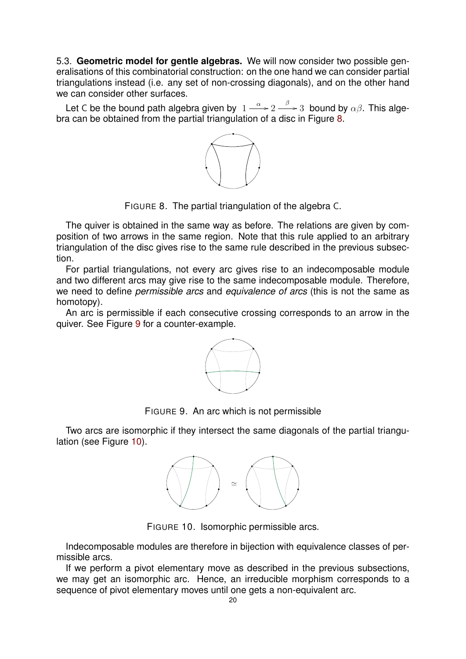<span id="page-19-0"></span>5.3. **Geometric model for gentle algebras.** We will now consider two possible generalisations of this combinatorial construction: on the one hand we can consider partial triangulations instead (i.e. any set of non-crossing diagonals), and on the other hand we can consider other surfaces.

Let C be the bound path algebra given by  $1 \stackrel{\alpha}{\longrightarrow} 2 \stackrel{\beta}{\longrightarrow} 3$  bound by  $\alpha\beta$ . This algebra can be obtained from the partial triangulation of a disc in Figure [8.](#page-19-1)



<span id="page-19-1"></span>FIGURE 8. The partial triangulation of the algebra C.

The quiver is obtained in the same way as before. The relations are given by composition of two arrows in the same region. Note that this rule applied to an arbitrary triangulation of the disc gives rise to the same rule described in the previous subsection.

For partial triangulations, not every arc gives rise to an indecomposable module and two different arcs may give rise to the same indecomposable module. Therefore, we need to define *permissible arcs* and *equivalence of arcs* (this is not the same as homotopy).

An arc is permissible if each consecutive crossing corresponds to an arrow in the quiver. See Figure [9](#page-19-2) for a counter-example.



<span id="page-19-2"></span>FIGURE 9. An arc which is not permissible

Two arcs are isomorphic if they intersect the same diagonals of the partial triangu-lation (see Figure [10\)](#page-19-3).



<span id="page-19-3"></span>FIGURE 10. Isomorphic permissible arcs.

Indecomposable modules are therefore in bijection with equivalence classes of permissible arcs.

If we perform a pivot elementary move as described in the previous subsections, we may get an isomorphic arc. Hence, an irreducible morphism corresponds to a sequence of pivot elementary moves until one gets a non-equivalent arc.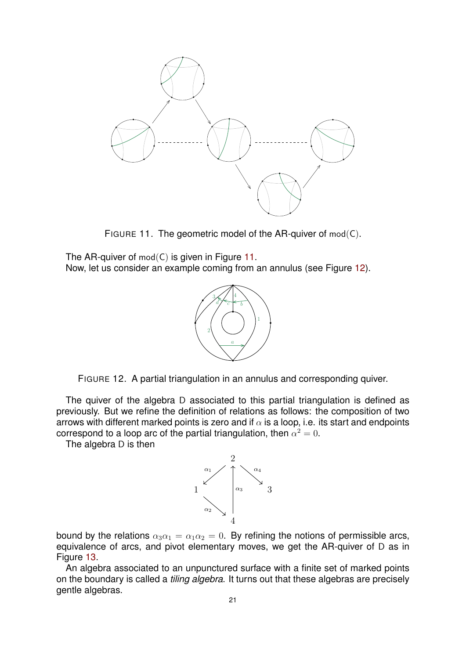

<span id="page-20-0"></span>FIGURE 11. The geometric model of the AR-quiver of mod(C).

The AR-quiver of  $mod(C)$  is given in Figure [11.](#page-20-0) Now, let us consider an example coming from an annulus (see Figure [12\)](#page-20-1).



<span id="page-20-1"></span>

The quiver of the algebra D associated to this partial triangulation is defined as previously. But we refine the definition of relations as follows: the composition of two arrows with different marked points is zero and if  $\alpha$  is a loop, i.e. its start and endpoints correspond to a loop arc of the partial triangulation, then  $\alpha^2=0$ .

The algebra D is then



bound by the relations  $\alpha_3\alpha_1 = \alpha_1\alpha_2 = 0$ . By refining the notions of permissible arcs, equivalence of arcs, and pivot elementary moves, we get the AR-quiver of D as in Figure [13.](#page-21-5)

An algebra associated to an unpunctured surface with a finite set of marked points on the boundary is called a *tiling algebra*. It turns out that these algebras are precisely gentle algebras.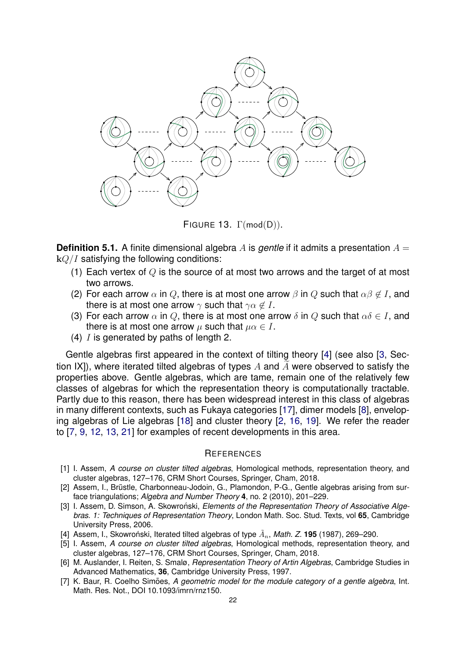

<span id="page-21-5"></span>FIGURE 13. Γ(mod(D)).

**Definition 5.1.** A finite dimensional algebra A is *gentle* if it admits a presentation  $A =$  $kQ/I$  satisfying the following conditions:

- (1) Each vertex of  $Q$  is the source of at most two arrows and the target of at most two arrows.
- (2) For each arrow  $\alpha$  in Q, there is at most one arrow  $\beta$  in Q such that  $\alpha\beta \notin I$ , and there is at most one arrow  $\gamma$  such that  $\gamma \alpha \notin I$ .
- (3) For each arrow  $\alpha$  in Q, there is at most one arrow  $\delta$  in Q such that  $\alpha\delta \in I$ , and there is at most one arrow  $\mu$  such that  $\mu \alpha \in I$ .
- (4)  $I$  is generated by paths of length 2.

Gentle algebras first appeared in the context of tilting theory [\[4\]](#page-21-2) (see also [\[3,](#page-21-1) Section IXI), where iterated tilted algebras of types A and  $\tilde{A}$  were observed to satisfy the properties above. Gentle algebras, which are tame, remain one of the relatively few classes of algebras for which the representation theory is computationally tractable. Partly due to this reason, there has been widespread interest in this class of algebras in many different contexts, such as Fukaya categories [\[17\]](#page-22-4), dimer models [\[8\]](#page-22-5), enveloping algebras of Lie algebras [\[18\]](#page-22-6) and cluster theory [\[2,](#page-21-6) [16,](#page-22-7) [19\]](#page-22-8). We refer the reader to [\[7,](#page-21-7) [9,](#page-22-9) [12,](#page-22-10) [13,](#page-22-3) [21\]](#page-22-11) for examples of recent developments in this area.

### <span id="page-21-0"></span>**REFERENCES**

- <span id="page-21-4"></span>[1] I. Assem, *A course on cluster tilted algebras*, Homological methods, representation theory, and cluster algebras, 127–176, CRM Short Courses, Springer, Cham, 2018.
- <span id="page-21-6"></span>[2] Assem, I., Brüstle, Charbonneau-Jodoin, G., Plamondon, P-G., Gentle algebras arising from surface triangulations; *Algebra and Number Theory* **4**, no. 2 (2010), 201–229.
- <span id="page-21-1"></span>[3] I. Assem, D. Simson, A. Skowroński, *Elements of the Representation Theory of Associative Algebras. 1: Techniques of Representation Theory*, London Math. Soc. Stud. Texts, vol **65**, Cambridge University Press, 2006.
- <span id="page-21-2"></span>[4] Assem, I., Skowroński, Iterated tilted algebras of type  $\tilde{A}_n$ , *Math. Z.* 195 (1987), 269–290.
- [5] I. Assem, *A course on cluster tilted algebras*, Homological methods, representation theory, and cluster algebras, 127–176, CRM Short Courses, Springer, Cham, 2018.
- <span id="page-21-3"></span>[6] M. Auslander, I. Reiten, S. Smalø, *Representation Theory of Artin Algebras*, Cambridge Studies in Advanced Mathematics, **36**, Cambridge University Press, 1997.
- <span id="page-21-7"></span>[7] K. Baur, R. Coelho Simões, A *geometric model for the module category of a gentle algebra*, Int. Math. Res. Not., DOI 10.1093/imrn/rnz150.